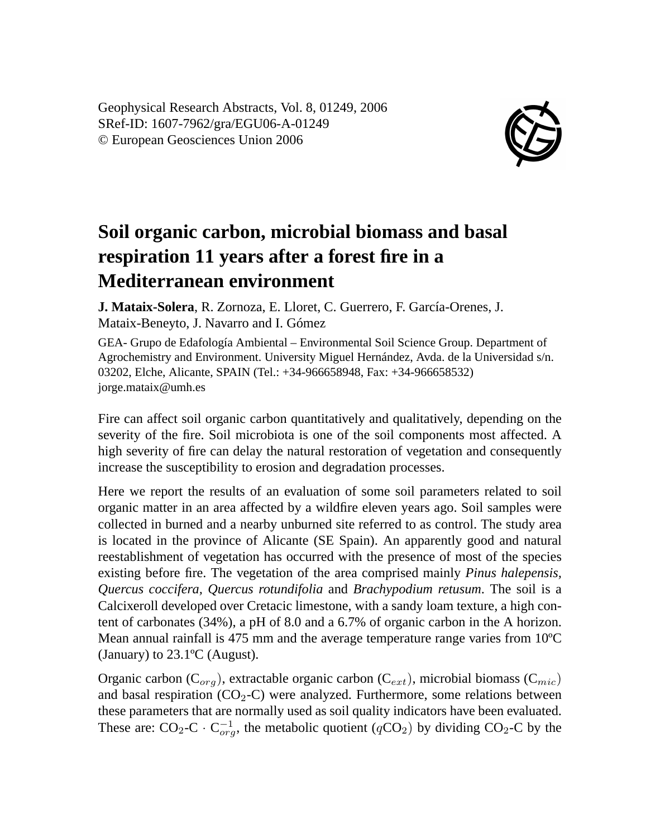Geophysical Research Abstracts, Vol. 8, 01249, 2006 SRef-ID: 1607-7962/gra/EGU06-A-01249 © European Geosciences Union 2006



## **Soil organic carbon, microbial biomass and basal respiration 11 years after a forest fire in a Mediterranean environment**

**J. Mataix-Solera**, R. Zornoza, E. Lloret, C. Guerrero, F. García-Orenes, J. Mataix-Beneyto, J. Navarro and I. Gómez

GEA- Grupo de Edafología Ambiental – Environmental Soil Science Group. Department of Agrochemistry and Environment. University Miguel Hernández, Avda. de la Universidad s/n. 03202, Elche, Alicante, SPAIN (Tel.: +34-966658948, Fax: +34-966658532) jorge.mataix@umh.es

Fire can affect soil organic carbon quantitatively and qualitatively, depending on the severity of the fire. Soil microbiota is one of the soil components most affected. A high severity of fire can delay the natural restoration of vegetation and consequently increase the susceptibility to erosion and degradation processes.

Here we report the results of an evaluation of some soil parameters related to soil organic matter in an area affected by a wildfire eleven years ago. Soil samples were collected in burned and a nearby unburned site referred to as control. The study area is located in the province of Alicante (SE Spain). An apparently good and natural reestablishment of vegetation has occurred with the presence of most of the species existing before fire. The vegetation of the area comprised mainly *Pinus halepensis, Quercus coccifera, Quercus rotundifolia* and *Brachypodium retusum*. The soil is a Calcixeroll developed over Cretacic limestone, with a sandy loam texture, a high content of carbonates (34%), a pH of 8.0 and a 6.7% of organic carbon in the A horizon. Mean annual rainfall is 475 mm and the average temperature range varies from 10ºC (January) to 23.1ºC (August).

Organic carbon ( $C_{\text{orq}}$ ), extractable organic carbon ( $C_{ext}$ ), microbial biomass ( $C_{\text{mic}}$ ) and basal respiration  $(CO_2-C)$  were analyzed. Furthermore, some relations between these parameters that are normally used as soil quality indicators have been evaluated. These are:  $CO_2$ -C  $\cdot$  C $_{org}^{-1}$ , the metabolic quotient ( $qCO_2$ ) by dividing CO<sub>2</sub>-C by the